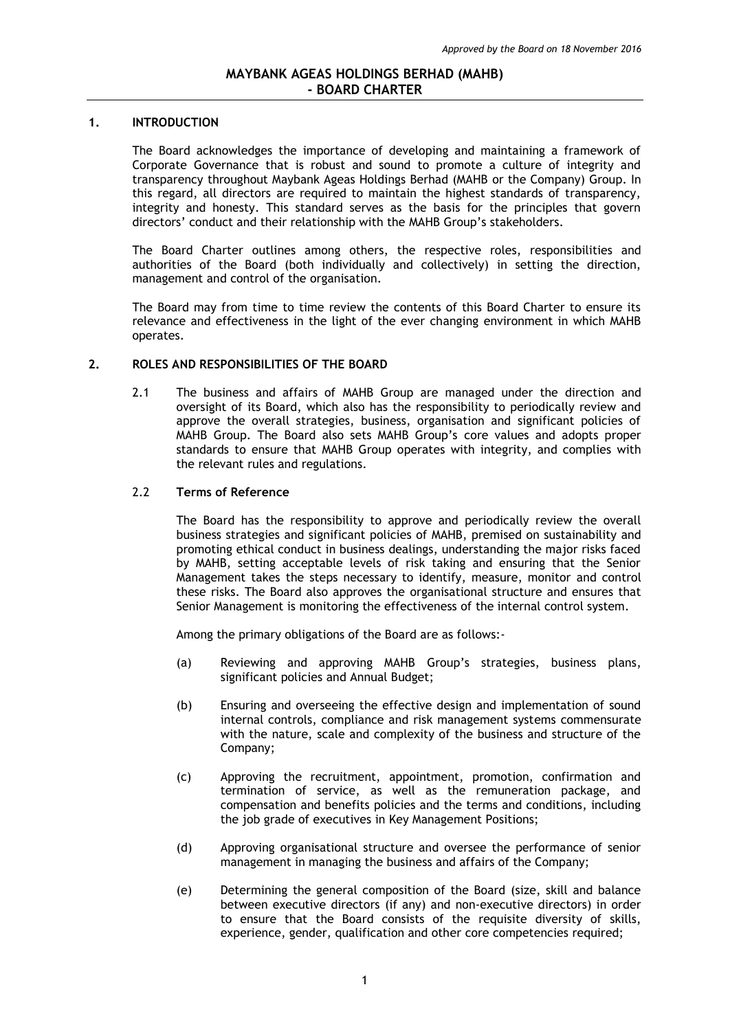### **1. INTRODUCTION**

The Board acknowledges the importance of developing and maintaining a framework of Corporate Governance that is robust and sound to promote a culture of integrity and transparency throughout Maybank Ageas Holdings Berhad (MAHB or the Company) Group. In this regard, all directors are required to maintain the highest standards of transparency, integrity and honesty. This standard serves as the basis for the principles that govern directors' conduct and their relationship with the MAHB Group's stakeholders.

The Board Charter outlines among others, the respective roles, responsibilities and authorities of the Board (both individually and collectively) in setting the direction, management and control of the organisation.

The Board may from time to time review the contents of this Board Charter to ensure its relevance and effectiveness in the light of the ever changing environment in which MAHB operates.

### **2. ROLES AND RESPONSIBILITIES OF THE BOARD**

2.1 The business and affairs of MAHB Group are managed under the direction and oversight of its Board, which also has the responsibility to periodically review and approve the overall strategies, business, organisation and significant policies of MAHB Group. The Board also sets MAHB Group's core values and adopts proper standards to ensure that MAHB Group operates with integrity, and complies with the relevant rules and regulations.

### 2.2 **Terms of Reference**

The Board has the responsibility to approve and periodically review the overall business strategies and significant policies of MAHB, premised on sustainability and promoting ethical conduct in business dealings, understanding the major risks faced by MAHB, setting acceptable levels of risk taking and ensuring that the Senior Management takes the steps necessary to identify, measure, monitor and control these risks. The Board also approves the organisational structure and ensures that Senior Management is monitoring the effectiveness of the internal control system.

Among the primary obligations of the Board are as follows:-

- (a) Reviewing and approving MAHB Group's strategies, business plans, significant policies and Annual Budget;
- (b) Ensuring and overseeing the effective design and implementation of sound internal controls, compliance and risk management systems commensurate with the nature, scale and complexity of the business and structure of the Company;
- (c) Approving the recruitment, appointment, promotion, confirmation and termination of service, as well as the remuneration package, and compensation and benefits policies and the terms and conditions, including the job grade of executives in Key Management Positions;
- (d) Approving organisational structure and oversee the performance of senior management in managing the business and affairs of the Company;
- (e) Determining the general composition of the Board (size, skill and balance between executive directors (if any) and non-executive directors) in order to ensure that the Board consists of the requisite diversity of skills, experience, gender, qualification and other core competencies required;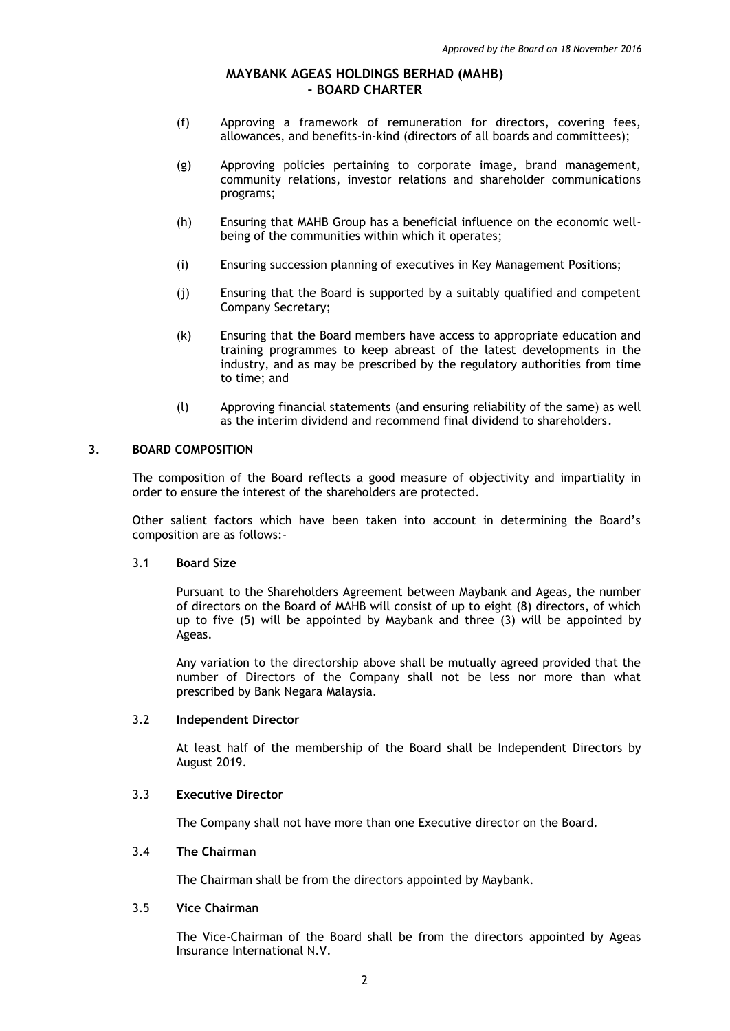- (f) Approving a framework of remuneration for directors, covering fees, allowances, and benefits-in-kind (directors of all boards and committees);
- (g) Approving policies pertaining to corporate image, brand management, community relations, investor relations and shareholder communications programs;
- (h) Ensuring that MAHB Group has a beneficial influence on the economic wellbeing of the communities within which it operates;
- (i) Ensuring succession planning of executives in Key Management Positions;
- (j) Ensuring that the Board is supported by a suitably qualified and competent Company Secretary;
- (k) Ensuring that the Board members have access to appropriate education and training programmes to keep abreast of the latest developments in the industry, and as may be prescribed by the regulatory authorities from time to time; and
- (l) Approving financial statements (and ensuring reliability of the same) as well as the interim dividend and recommend final dividend to shareholders.

# **3. BOARD COMPOSITION**

The composition of the Board reflects a good measure of objectivity and impartiality in order to ensure the interest of the shareholders are protected.

Other salient factors which have been taken into account in determining the Board's composition are as follows:-

#### 3.1 **Board Size**

Pursuant to the Shareholders Agreement between Maybank and Ageas, the number of directors on the Board of MAHB will consist of up to eight (8) directors, of which up to five (5) will be appointed by Maybank and three (3) will be appointed by Ageas.

Any variation to the directorship above shall be mutually agreed provided that the number of Directors of the Company shall not be less nor more than what prescribed by Bank Negara Malaysia.

## 3.2 **Independent Director**

At least half of the membership of the Board shall be Independent Directors by August 2019.

### 3.3 **Executive Director**

The Company shall not have more than one Executive director on the Board.

## 3.4 **The Chairman**

The Chairman shall be from the directors appointed by Maybank.

## 3.5 **Vice Chairman**

The Vice-Chairman of the Board shall be from the directors appointed by Ageas Insurance International N.V.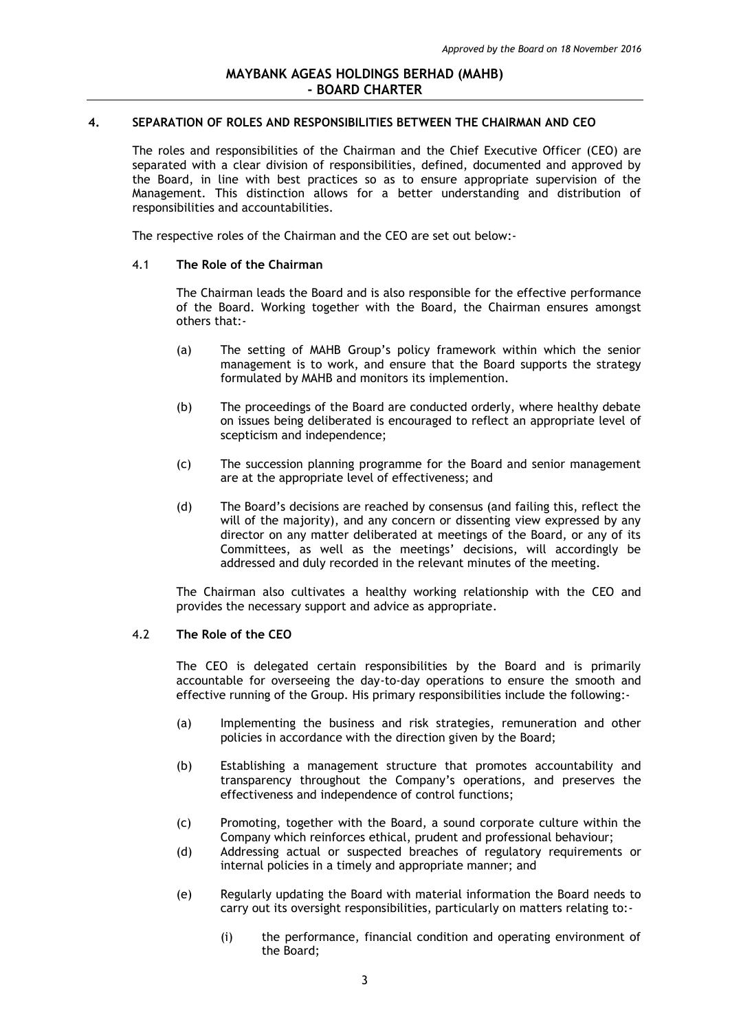## **4. SEPARATION OF ROLES AND RESPONSIBILITIES BETWEEN THE CHAIRMAN AND CEO**

The roles and responsibilities of the Chairman and the Chief Executive Officer (CEO) are separated with a clear division of responsibilities, defined, documented and approved by the Board, in line with best practices so as to ensure appropriate supervision of the Management. This distinction allows for a better understanding and distribution of responsibilities and accountabilities.

The respective roles of the Chairman and the CEO are set out below:-

#### 4.1 **The Role of the Chairman**

The Chairman leads the Board and is also responsible for the effective performance of the Board. Working together with the Board, the Chairman ensures amongst others that:-

- (a) The setting of MAHB Group's policy framework within which the senior management is to work, and ensure that the Board supports the strategy formulated by MAHB and monitors its implemention.
- (b) The proceedings of the Board are conducted orderly, where healthy debate on issues being deliberated is encouraged to reflect an appropriate level of scepticism and independence;
- (c) The succession planning programme for the Board and senior management are at the appropriate level of effectiveness; and
- (d) The Board's decisions are reached by consensus (and failing this, reflect the will of the majority), and any concern or dissenting view expressed by any director on any matter deliberated at meetings of the Board, or any of its Committees, as well as the meetings' decisions, will accordingly be addressed and duly recorded in the relevant minutes of the meeting.

The Chairman also cultivates a healthy working relationship with the CEO and provides the necessary support and advice as appropriate.

### 4.2 **The Role of the CEO**

The CEO is delegated certain responsibilities by the Board and is primarily accountable for overseeing the day-to-day operations to ensure the smooth and effective running of the Group. His primary responsibilities include the following:-

- (a) Implementing the business and risk strategies, remuneration and other policies in accordance with the direction given by the Board;
- (b) Establishing a management structure that promotes accountability and transparency throughout the Company's operations, and preserves the effectiveness and independence of control functions;
- (c) Promoting, together with the Board, a sound corporate culture within the Company which reinforces ethical, prudent and professional behaviour;
- (d) Addressing actual or suspected breaches of regulatory requirements or internal policies in a timely and appropriate manner; and
- (e) Regularly updating the Board with material information the Board needs to carry out its oversight responsibilities, particularly on matters relating to:-
	- (i) the performance, financial condition and operating environment of the Board;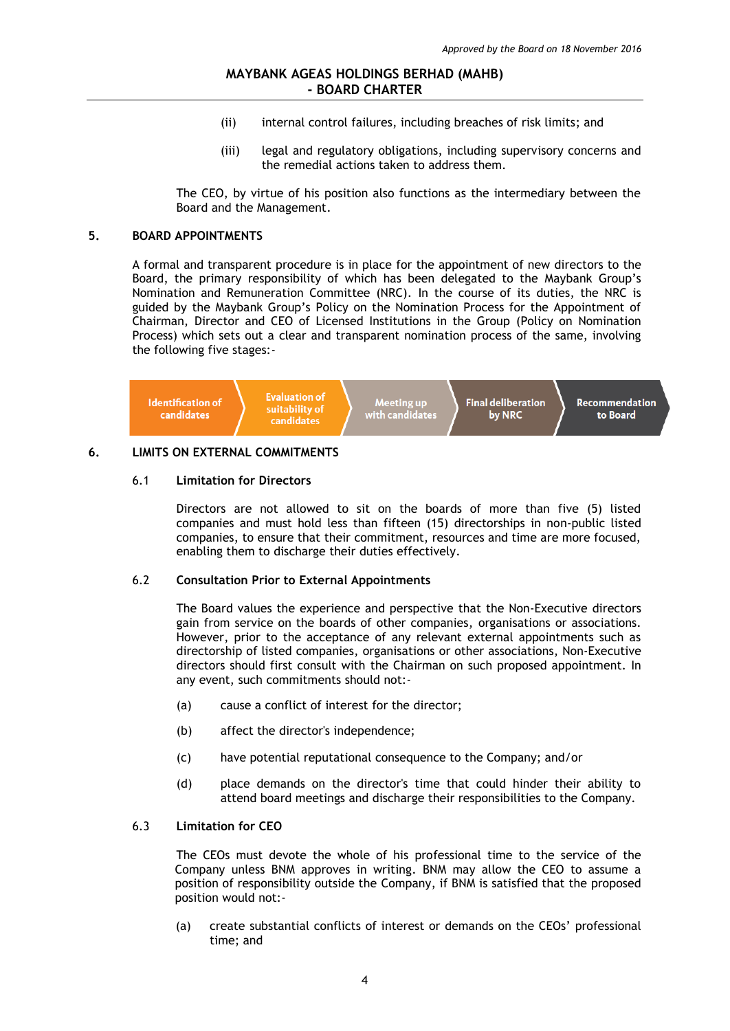- (ii) internal control failures, including breaches of risk limits; and
- (iii) legal and regulatory obligations, including supervisory concerns and the remedial actions taken to address them.

The CEO, by virtue of his position also functions as the intermediary between the Board and the Management.

# **5. BOARD APPOINTMENTS**

A formal and transparent procedure is in place for the appointment of new directors to the Board, the primary responsibility of which has been delegated to the Maybank Group's Nomination and Remuneration Committee (NRC). In the course of its duties, the NRC is guided by the Maybank Group's Policy on the Nomination Process for the Appointment of Chairman, Director and CEO of Licensed Institutions in the Group (Policy on Nomination Process) which sets out a clear and transparent nomination process of the same, involving the following five stages:-



## **6. LIMITS ON EXTERNAL COMMITMENTS**

#### 6.1 **Limitation for Directors**

Directors are not allowed to sit on the boards of more than five (5) listed companies and must hold less than fifteen (15) directorships in non-public listed companies, to ensure that their commitment, resources and time are more focused, enabling them to discharge their duties effectively.

#### 6.2 **Consultation Prior to External Appointments**

The Board values the experience and perspective that the Non-Executive directors gain from service on the boards of other companies, organisations or associations. However, prior to the acceptance of any relevant external appointments such as directorship of listed companies, organisations or other associations, Non-Executive directors should first consult with the Chairman on such proposed appointment. In any event, such commitments should not:-

- (a) cause a conflict of interest for the director;
- (b) affect the director's independence;
- (c) have potential reputational consequence to the Company; and/or
- (d) place demands on the director's time that could hinder their ability to attend board meetings and discharge their responsibilities to the Company.

### 6.3 **Limitation for CEO**

The CEOs must devote the whole of his professional time to the service of the Company unless BNM approves in writing. BNM may allow the CEO to assume a position of responsibility outside the Company, if BNM is satisfied that the proposed position would not:-

(a) create substantial conflicts of interest or demands on the CEOs' professional time; and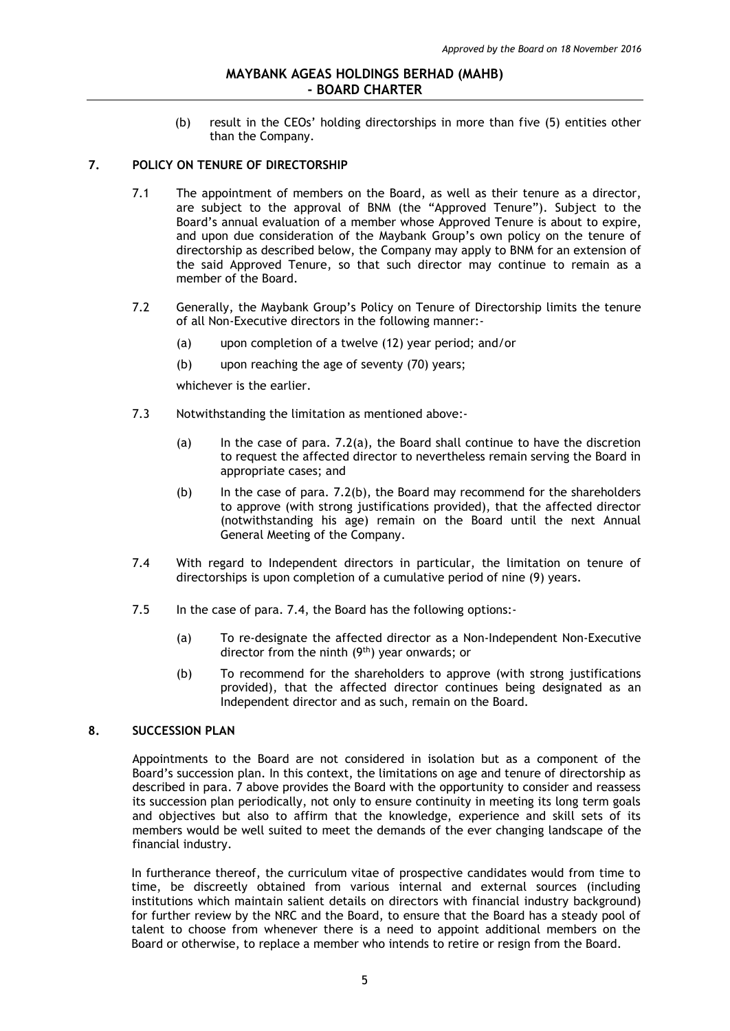(b) result in the CEOs' holding directorships in more than five (5) entities other than the Company.

### **7. POLICY ON TENURE OF DIRECTORSHIP**

- 7.1 The appointment of members on the Board, as well as their tenure as a director, are subject to the approval of BNM (the "Approved Tenure"). Subject to the Board's annual evaluation of a member whose Approved Tenure is about to expire, and upon due consideration of the Maybank Group's own policy on the tenure of directorship as described below, the Company may apply to BNM for an extension of the said Approved Tenure, so that such director may continue to remain as a member of the Board.
- 7.2 Generally, the Maybank Group's Policy on Tenure of Directorship limits the tenure of all Non-Executive directors in the following manner:-
	- (a) upon completion of a twelve (12) year period; and/or
	- (b) upon reaching the age of seventy (70) years;

whichever is the earlier.

- 7.3 Notwithstanding the limitation as mentioned above:-
	- (a) In the case of para. 7.2(a), the Board shall continue to have the discretion to request the affected director to nevertheless remain serving the Board in appropriate cases; and
	- (b) In the case of para. 7.2(b), the Board may recommend for the shareholders to approve (with strong justifications provided), that the affected director (notwithstanding his age) remain on the Board until the next Annual General Meeting of the Company.
- 7.4 With regard to Independent directors in particular, the limitation on tenure of directorships is upon completion of a cumulative period of nine (9) years.
- 7.5 In the case of para. 7.4, the Board has the following options:-
	- (a) To re-designate the affected director as a Non-Independent Non-Executive director from the ninth  $(9<sup>th</sup>)$  year onwards; or
	- (b) To recommend for the shareholders to approve (with strong justifications provided), that the affected director continues being designated as an Independent director and as such, remain on the Board.

## **8. SUCCESSION PLAN**

Appointments to the Board are not considered in isolation but as a component of the Board's succession plan. In this context, the limitations on age and tenure of directorship as described in para. 7 above provides the Board with the opportunity to consider and reassess its succession plan periodically, not only to ensure continuity in meeting its long term goals and objectives but also to affirm that the knowledge, experience and skill sets of its members would be well suited to meet the demands of the ever changing landscape of the financial industry.

In furtherance thereof, the curriculum vitae of prospective candidates would from time to time, be discreetly obtained from various internal and external sources (including institutions which maintain salient details on directors with financial industry background) for further review by the NRC and the Board, to ensure that the Board has a steady pool of talent to choose from whenever there is a need to appoint additional members on the Board or otherwise, to replace a member who intends to retire or resign from the Board.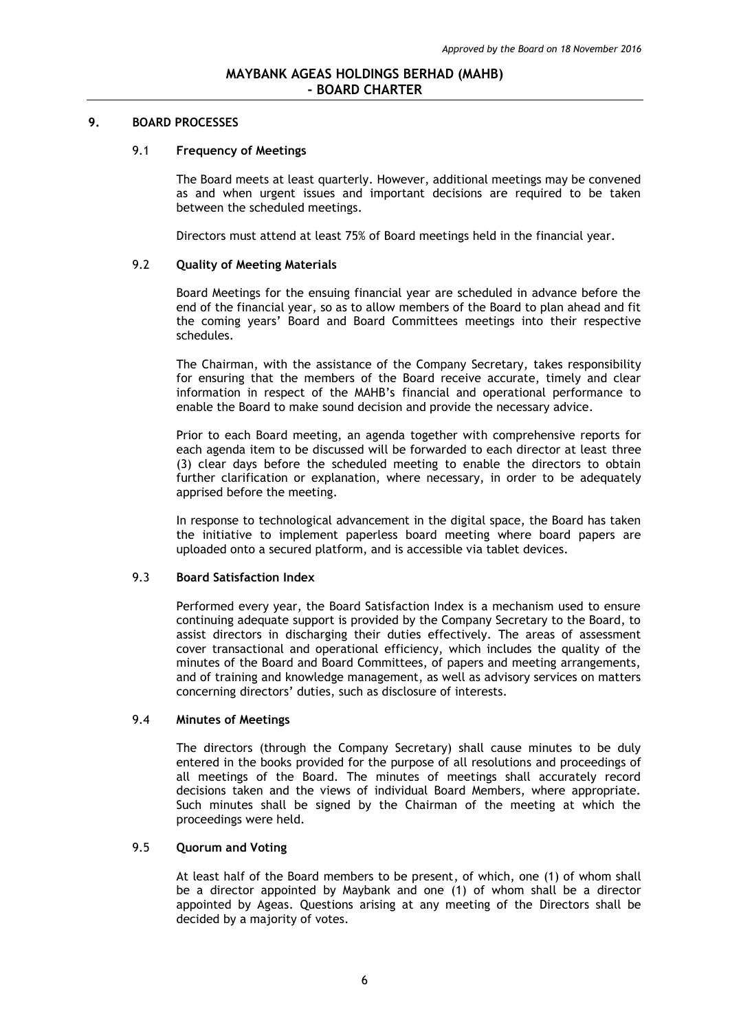#### **9. BOARD PROCESSES**

#### 9.1 **Frequency of Meetings**

The Board meets at least quarterly. However, additional meetings may be convened as and when urgent issues and important decisions are required to be taken between the scheduled meetings.

Directors must attend at least 75% of Board meetings held in the financial year.

## 9.2 **Quality of Meeting Materials**

Board Meetings for the ensuing financial year are scheduled in advance before the end of the financial year, so as to allow members of the Board to plan ahead and fit the coming years' Board and Board Committees meetings into their respective schedules.

The Chairman, with the assistance of the Company Secretary, takes responsibility for ensuring that the members of the Board receive accurate, timely and clear information in respect of the MAHB's financial and operational performance to enable the Board to make sound decision and provide the necessary advice.

Prior to each Board meeting, an agenda together with comprehensive reports for each agenda item to be discussed will be forwarded to each director at least three (3) clear days before the scheduled meeting to enable the directors to obtain further clarification or explanation, where necessary, in order to be adequately apprised before the meeting.

In response to technological advancement in the digital space, the Board has taken the initiative to implement paperless board meeting where board papers are uploaded onto a secured platform, and is accessible via tablet devices.

#### 9.3 **Board Satisfaction Index**

Performed every year, the Board Satisfaction Index is a mechanism used to ensure continuing adequate support is provided by the Company Secretary to the Board, to assist directors in discharging their duties effectively. The areas of assessment cover transactional and operational efficiency, which includes the quality of the minutes of the Board and Board Committees, of papers and meeting arrangements, and of training and knowledge management, as well as advisory services on matters concerning directors' duties, such as disclosure of interests.

## 9.4 **Minutes of Meetings**

The directors (through the Company Secretary) shall cause minutes to be duly entered in the books provided for the purpose of all resolutions and proceedings of all meetings of the Board. The minutes of meetings shall accurately record decisions taken and the views of individual Board Members, where appropriate. Such minutes shall be signed by the Chairman of the meeting at which the proceedings were held.

## 9.5 **Quorum and Voting**

At least half of the Board members to be present, of which, one (1) of whom shall be a director appointed by Maybank and one (1) of whom shall be a director appointed by Ageas. Questions arising at any meeting of the Directors shall be decided by a majority of votes.